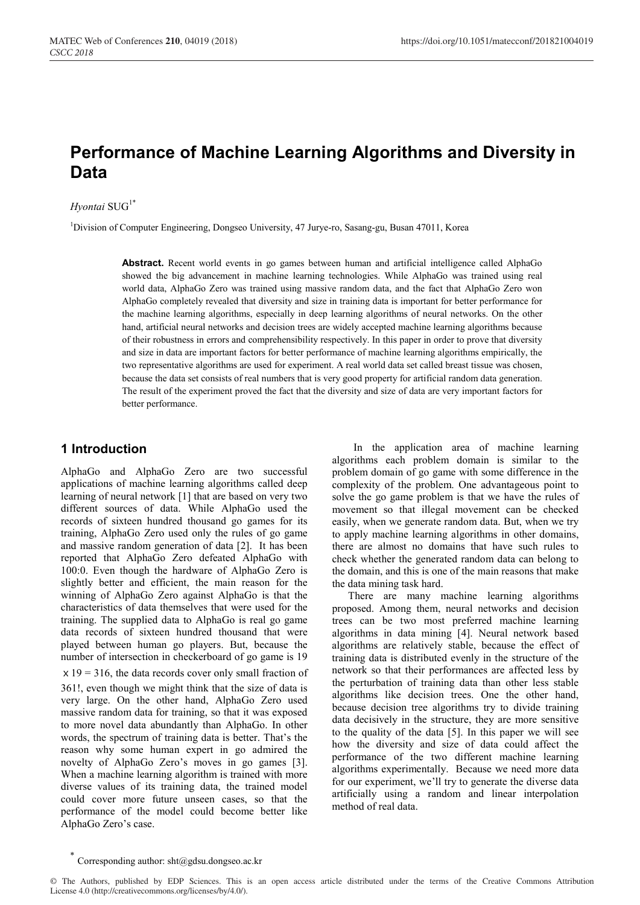# **Performance of Machine Learning Algorithms and Diversity in Data**

### $Hyontai$   $SUG<sup>1*</sup>$

<sup>1</sup>Division of Computer Engineering, Dongseo University, 47 Jurye-ro, Sasang-gu, Busan 47011, Korea

**Abstract.** Recent world events in go games between human and artificial intelligence called AlphaGo showed the big advancement in machine learning technologies. While AlphaGo was trained using real world data, AlphaGo Zero was trained using massive random data, and the fact that AlphaGo Zero won AlphaGo completely revealed that diversity and size in training data is important for better performance for the machine learning algorithms, especially in deep learning algorithms of neural networks. On the other hand, artificial neural networks and decision trees are widely accepted machine learning algorithms because of their robustness in errors and comprehensibility respectively. In this paper in order to prove that diversity and size in data are important factors for better performance of machine learning algorithms empirically, the two representative algorithms are used for experiment. A real world data set called breast tissue was chosen, because the data set consists of real numbers that is very good property for artificial random data generation. The result of the experiment proved the fact that the diversity and size of data are very important factors for better performance.

## **1 Introduction**

AlphaGo and AlphaGo Zero are two successful applications of machine learning algorithms called deep learning of neural network [1] that are based on very two different sources of data. While AlphaGo used the records of sixteen hundred thousand go games for its training, AlphaGo Zero used only the rules of go game and massive random generation of data [2]. It has been reported that AlphaGo Zero defeated AlphaGo with 100:0. Even though the hardware of AlphaGo Zero is slightly better and efficient, the main reason for the winning of AlphaGo Zero against AlphaGo is that the characteristics of data themselves that were used for the training. The supplied data to AlphaGo is real go game data records of sixteen hundred thousand that were played between human go players. But, because the number of intersection in checkerboard of go game is 19  $x 19 = 316$ , the data records cover only small fraction of 361!, even though we might think that the size of data is very large. On the other hand, AlphaGo Zero used massive random data for training, so that it was exposed to more novel data abundantly than AlphaGo. In other words, the spectrum of training data is better. That's the reason why some human expert in go admired the novelty of AlphaGo Zero's moves in go games [3]. When a machine learning algorithm is trained with more diverse values of its training data, the trained model could cover more future unseen cases, so that the performance of the model could become better like AlphaGo Zero's case.

In the application area of machine learning algorithms each problem domain is similar to the problem domain of go game with some difference in the complexity of the problem. One advantageous point to solve the go game problem is that we have the rules of movement so that illegal movement can be checked easily, when we generate random data. But, when we try to apply machine learning algorithms in other domains, there are almost no domains that have such rules to check whether the generated random data can belong to the domain, and this is one of the main reasons that make the data mining task hard.

There are many machine learning algorithms proposed. Among them, neural networks and decision trees can be two most preferred machine learning algorithms in data mining [4]. Neural network based algorithms are relatively stable, because the effect of training data is distributed evenly in the structure of the network so that their performances are affected less by the perturbation of training data than other less stable algorithms like decision trees. One the other hand, because decision tree algorithms try to divide training data decisively in the structure, they are more sensitive to the quality of the data [5]. In this paper we will see how the diversity and size of data could affect the performance of the two different machine learning algorithms experimentally. Because we need more data for our experiment, we'll try to generate the diverse data artificially using a random and linear interpolation method of real data.

Corresponding author: sht@gdsu.dongseo.ac.kr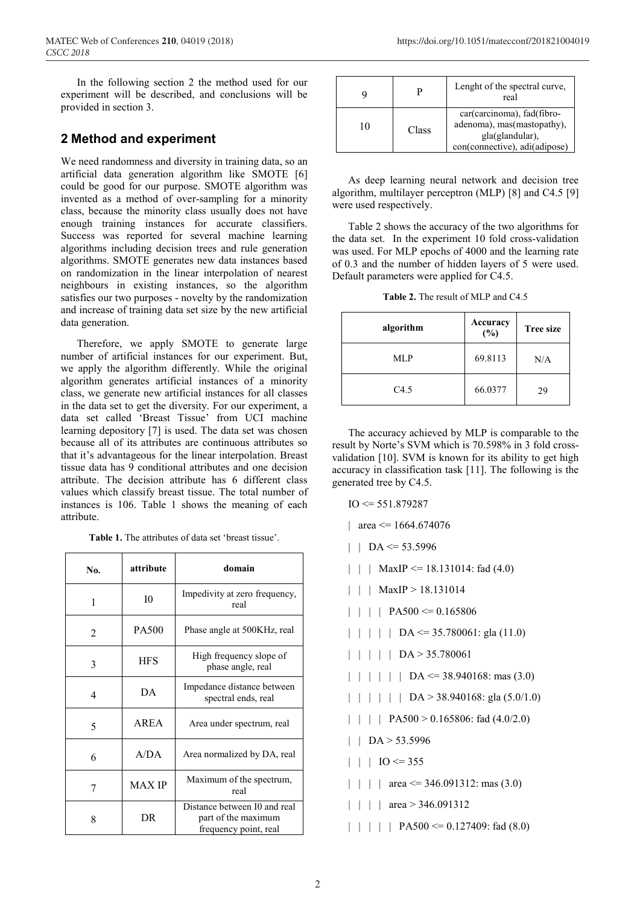In the following section 2 the method used for our experiment will be described, and conclusions will be provided in section 3.

# **2 Method and experiment**

We need randomness and diversity in training data, so an artificial data generation algorithm like SMOTE [6] could be good for our purpose. SMOTE algorithm was invented as a method of over-sampling for a minority class, because the minority class usually does not have enough training instances for accurate classifiers. Success was reported for several machine learning algorithms including decision trees and rule generation algorithms. SMOTE generates new data instances based on randomization in the linear interpolation of nearest neighbours in existing instances, so the algorithm satisfies our two purposes - novelty by the randomization and increase of training data set size by the new artificial data generation.

Therefore, we apply SMOTE to generate large number of artificial instances for our experiment. But, we apply the algorithm differently. While the original algorithm generates artificial instances of a minority class, we generate new artificial instances for all classes in the data set to get the diversity. For our experiment, a data set called 'Breast Tissue' from UCI machine learning depository [7] is used. The data set was chosen because all of its attributes are continuous attributes so that it's advantageous for the linear interpolation. Breast tissue data has 9 conditional attributes and one decision attribute. The decision attribute has 6 different class values which classify breast tissue. The total number of instances is 106. Table 1 shows the meaning of each attribute.

**Table 1.** The attributes of data set 'breast tissue'.

| No. | attribute     | domain                                                                       |  |  |
|-----|---------------|------------------------------------------------------------------------------|--|--|
| 1   | 10            | Impedivity at zero frequency,<br>real                                        |  |  |
| 2   | PA500         | Phase angle at 500KHz, real                                                  |  |  |
| 3   | <b>HFS</b>    | High frequency slope of<br>phase angle, real                                 |  |  |
| 4   | DА            | Impedance distance between<br>spectral ends, real                            |  |  |
| 5   | AREA          | Area under spectrum, real                                                    |  |  |
| 6   | A/DA          | Area normalized by DA, real                                                  |  |  |
|     | <b>MAX IP</b> | Maximum of the spectrum,<br>real                                             |  |  |
| 8   | DR.           | Distance between I0 and real<br>part of the maximum<br>frequency point, real |  |  |

|    |       | Lenght of the spectral curve,<br>real                                                                        |
|----|-------|--------------------------------------------------------------------------------------------------------------|
| 10 | Class | car(carcinoma), fad(fibro-<br>adenoma), mas(mastopathy),<br>gla(glandular),<br>con(connective), adi(adipose) |

As deep learning neural network and decision tree algorithm, multilayer perceptron (MLP) [8] and C4.5 [9] were used respectively.

Table 2 shows the accuracy of the two algorithms for the data set. In the experiment 10 fold cross-validation was used. For MLP epochs of 4000 and the learning rate of 0.3 and the number of hidden layers of 5 were used. Default parameters were applied for C4.5.

Table 2. The result of MLP and C4.5

| algorithm | Accuracy<br>(%) | <b>Tree size</b> |  |
|-----------|-----------------|------------------|--|
| MLP       | 69.8113         | N/A              |  |
| C4.5      | 66.0377         | 29               |  |

The accuracy achieved by MLP is comparable to the result by Norte's SVM which is 70.598% in 3 fold crossvalidation [10]. SVM is known for its ability to get high accuracy in classification task [11]. The following is the generated tree by C4.5.

- $IO \le 551.879287$
- | area  $\leq$  1664.674076
- $|$  | DA <= 53.5996
- | | | MaxIP <= 18.131014: fad  $(4.0)$
- | | | MaxIP > 18.131014
- $|$  | | PA500 <= 0.165806
- $| \ | \ | \ | \ 1$  DA <= 35.780061: gla (11.0)
- | | | | | DA > 35.780061
- $| \ | \ | \ | \ | \ 1$  | DA <= 38.940168: mas (3.0)
- | | | | | DA > 38.940168: gla (5.0/1.0)
- | | | | PA500 > 0.165806: fad  $(4.0/2.0)$
- $|$  | DA > 53.5996
- $|$  |  $|$  IO <= 355
- | | | area  $\leq$  346.091312: mas (3.0)
- | | | area > 346.091312
- | | | | | PA500 <= 0.127409: fad (8.0)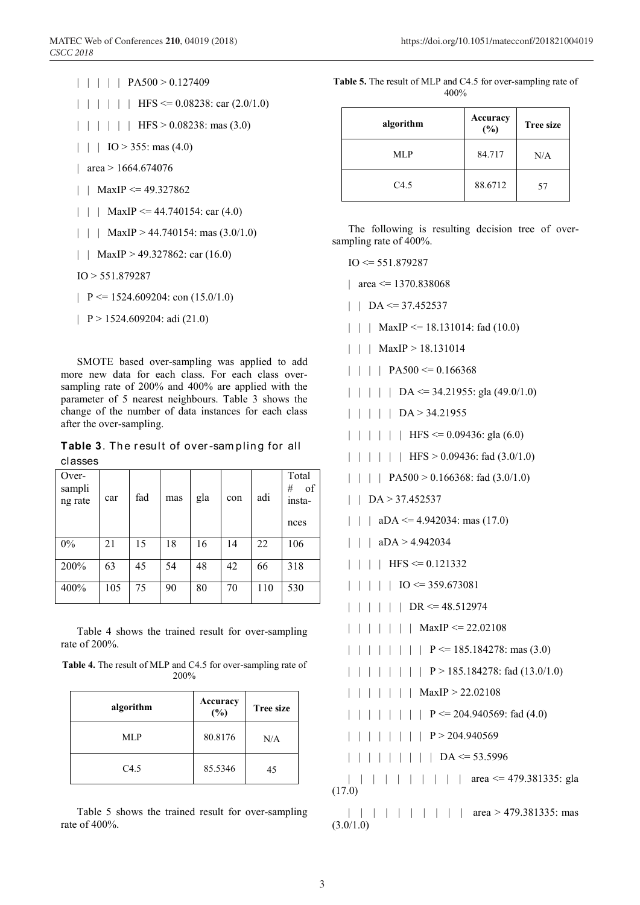| | | | | PA500 > 0.127409  $|$  | | | | HFS <= 0.08238: car (2.0/1.0)  $| | | | | |$  | HFS > 0.08238: mas (3.0)

- | | | IO > 355: mas (4.0)
- | area > 1664.674076
- | | MaxIP <=  $49.327862$
- | | | MaxIP <= 44.740154: car (4.0)
- | | | MaxIP > 44.740154: mas  $(3.0/1.0)$
- | | MaxIP > 49.327862: car (16.0)
- IO > 551.879287
- $\vert P \rightleftharpoons 1524.609204$ : con (15.0/1.0)
- |  $P > 1524.609204$ : adi (21.0)

SMOTE based over-sampling was applied to add more new data for each class. For each class oversampling rate of 200% and 400% are applied with the parameter of 5 nearest neighbours. Table 3 shows the change of the number of data instances for each class after the over-sampling.

**Table 3**. The result of over-sampling for all classes

| Over-<br>sampli<br>ng rate | car | fad | mas | gla | con | adi | Total<br>of<br>#<br>insta-<br>nces |
|----------------------------|-----|-----|-----|-----|-----|-----|------------------------------------|
| 0%                         | 21  | 15  | 18  | 16  | 14  | 22  | 106                                |
| 200%                       | 63  | 45  | 54  | 48  | 42  | 66  | 318                                |
| 400%                       | 105 | 75  | 90  | 80  | 70  | 110 | 530                                |

Table 4 shows the trained result for over-sampling rate of 200%.

**Table 4.** The result of MLP and C4.5 for over-sampling rate of 200%

| algorithm | Accuracy<br>(%) | <b>Tree size</b> |
|-----------|-----------------|------------------|
| MLP       | 80.8176         | N/A              |
| C4.5      | 85.5346         | 45               |

Table 5 shows the trained result for over-sampling rate of 400%.

| Table 5. The result of MLP and C4.5 for over-sampling rate of |         |  |  |
|---------------------------------------------------------------|---------|--|--|
|                                                               | $400\%$ |  |  |

| algorithm | Accuracy<br>(%) | <b>Tree size</b> |
|-----------|-----------------|------------------|
| MLP       | 84.717          | N/A              |
| C4.5      | 88.6712         | 57               |

The following is resulting decision tree of oversampling rate of 400%.

 $IO \le 551.879287$ 

| area  $\leq$  1370.838068

- $|$  | DA <= 37.452537
- | | | MaxIP  $\leq$  18.131014: fad (10.0)
- | | | MaxIP > 18.131014
- $|$  | | PA500 <= 0.166368
- $| \ | \ | \ | \$  DA <= 34.21955: gla (49.0/1.0)
- | | | | | DA > 34.21955
- $| \ | \ | \ | \ | \$  | HFS <= 0.09436: gla (6.0)

 $| | | | | |$  | | HFS > 0.09436: fad (3.0/1.0)

- | | | | PA500 > 0.166368: fad (3.0/1.0)
- | | DA > 37.452537
- |  $aDA \leq 4.942034$ : mas (17.0)
- | | | aDA > 4.942034
- $|$  | | | HFS <= 0.121332
- $|$  | | | IO <= 359.673081
- $| | | | | |$  DR <= 48.512974
- | | | | | | | MaxIP <= 22.02108
- | | | | | | P <= 185.184278: mas (3.0)
- | | | | | | | | P > 185.184278: fad (13.0/1.0)
- | | | | | | | MaxIP > 22.02108
- | | | | | | | | P <= 204.940569: fad  $(4.0)$
- | | | | | | | | P > 204.940569
- | | | | | | | | DA <= 53.5996

| | | | | | | | | | area <= 479.381335: gla (17.0)

| | | | | | | | | | area > 479.381335: mas  $(3.0/1.0)$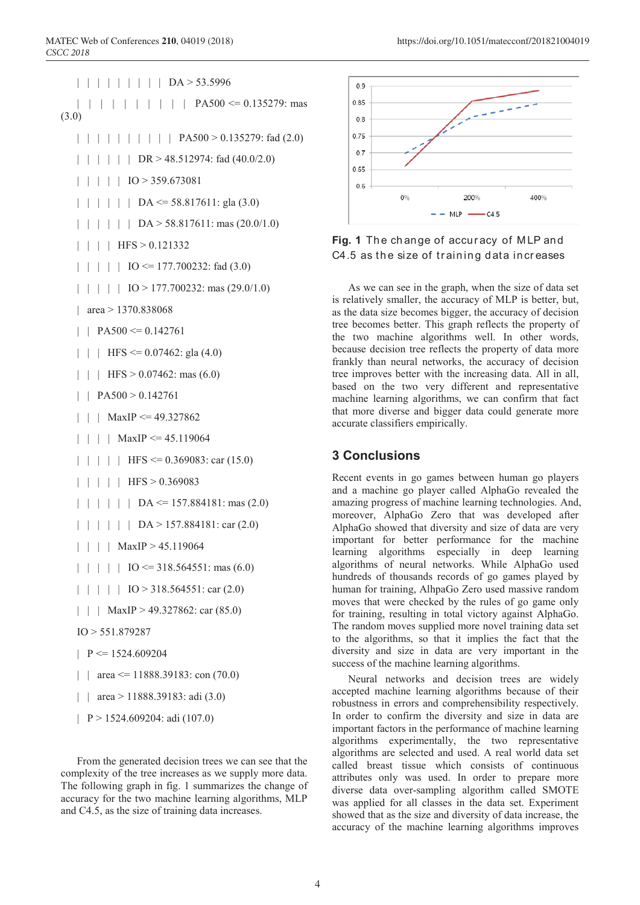```
| | | | | | | | DA > 53.5996
   | | | | | | | | | | | | | | | PA500 <= 0.135279: mas
(3.0)
   | | | | | | | | | | | | | | | | PA500 > 0.135279: fad (2.0)
   | | | | | | | | DR > 48.512974: fad (40.0/2.0)
   | | | | | IO > 359.673081
   | | | | | | | | DA <= 58.817611: gla (3.0)
   | | | | | DA > 58.817611: mas (20.0/1.0)
   | | | | HFS > 0.121332
   | | | | IO <= 177.700232: fad (3.0)
   | \ | \ | \ | \ 10 > 177.700232: mas (29.0/1.0)
   | area > 1370.838068
   | | PA500 \leq 0.142761
   | | | HFS \leq 0.07462: gla (4.0)
   | | | HFS > 0.07462: mas (6.0)
   \mid | PA500 > 0.142761
   | | | MaxIP <= 49.327862| | | | MaxIP <= 45.119064| \cdot | \cdot | HFS <= 0.369083: car (15.0)
   | | | | | HFS > 0.369083
   | \ | \ | \ | \ | \ | DA <= 157.884181: mas (2.0)
```
- | | | | | DA > 157.884181: car (2.0)
- | | | | MaxIP > 45.119064
- $| \cdot | \cdot |$  IO <= 318.564551: mas (6.0)
- | | | | IO > 318.564551: car (2.0)
- | | | MaxIP > 49.327862: car (85.0)

```
IO > 551.879287
```
- $| P \le 1524.609204$
- | | area  $\leq$  11888.39183: con (70.0)
- | | area > 11888.39183: adi (3.0)
- | P > 1524.609204: adi (107.0)

From the generated decision trees we can see that the complexity of the tree increases as we supply more data. The following graph in fig. 1 summarizes the change of accuracy for the two machine learning algorithms, MLP and C4.5, as the size of training data increases.



Fig. 1 The change of accuracy of MLP and C4.5 as the size of training data increases

As we can see in the graph, when the size of data set is relatively smaller, the accuracy of MLP is better, but, as the data size becomes bigger, the accuracy of decision tree becomes better. This graph reflects the property of the two machine algorithms well. In other words, because decision tree reflects the property of data more frankly than neural networks, the accuracy of decision tree improves better with the increasing data. All in all, based on the two very different and representative machine learning algorithms, we can confirm that fact that more diverse and bigger data could generate more accurate classifiers empirically.

### **3 Conclusions**

Recent events in go games between human go players and a machine go player called AlphaGo revealed the amazing progress of machine learning technologies. And, moreover, AlphaGo Zero that was developed after AlphaGo showed that diversity and size of data are very important for better performance for the machine learning algorithms especially in deep learning algorithms of neural networks. While AlphaGo used hundreds of thousands records of go games played by human for training, AlhpaGo Zero used massive random moves that were checked by the rules of go game only for training, resulting in total victory against AlphaGo. The random moves supplied more novel training data set to the algorithms, so that it implies the fact that the diversity and size in data are very important in the success of the machine learning algorithms.

Neural networks and decision trees are widely accepted machine learning algorithms because of their robustness in errors and comprehensibility respectively. In order to confirm the diversity and size in data are important factors in the performance of machine learning algorithms experimentally, the two representative algorithms are selected and used. A real world data set called breast tissue which consists of continuous attributes only was used. In order to prepare more diverse data over-sampling algorithm called SMOTE was applied for all classes in the data set. Experiment showed that as the size and diversity of data increase, the accuracy of the machine learning algorithms improves